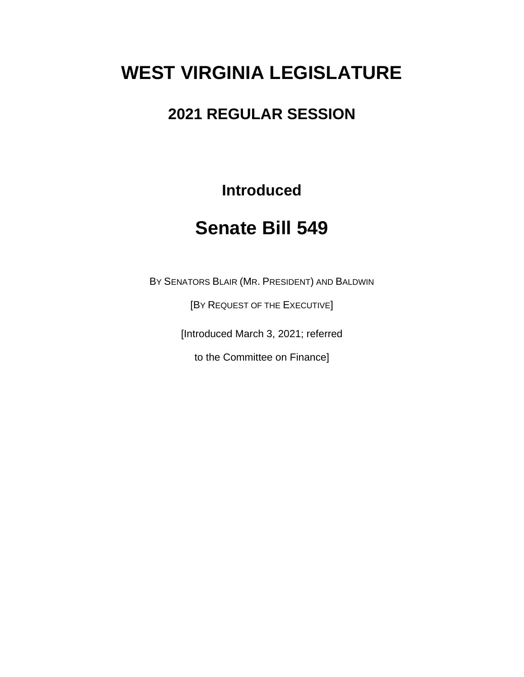## **WEST VIRGINIA LEGISLATURE**

## **2021 REGULAR SESSION**

**Introduced**

## **Senate Bill 549**

BY SENATORS BLAIR (MR. PRESIDENT) AND BALDWIN

[BY REQUEST OF THE EXECUTIVE]

[Introduced March 3, 2021; referred

to the Committee on Finance]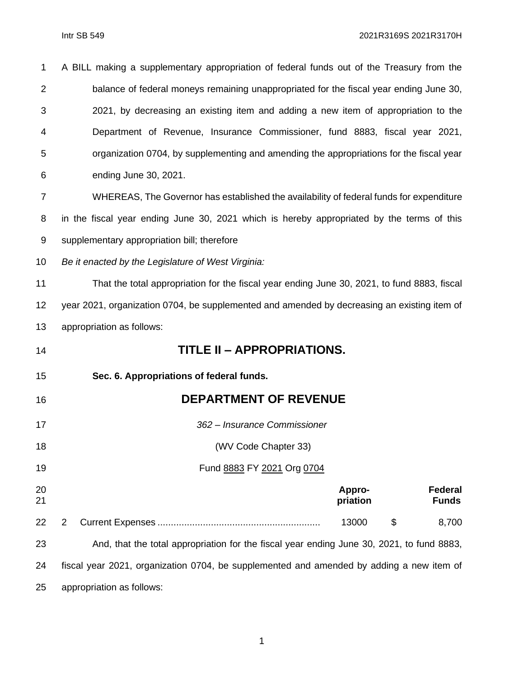| 1              | A BILL making a supplementary appropriation of federal funds out of the Treasury from the   |  |  |  |  |  |
|----------------|---------------------------------------------------------------------------------------------|--|--|--|--|--|
| 2              | balance of federal moneys remaining unappropriated for the fiscal year ending June 30,      |  |  |  |  |  |
| 3              | 2021, by decreasing an existing item and adding a new item of appropriation to the          |  |  |  |  |  |
| 4              | Department of Revenue, Insurance Commissioner, fund 8883, fiscal year 2021,                 |  |  |  |  |  |
| 5              | organization 0704, by supplementing and amending the appropriations for the fiscal year     |  |  |  |  |  |
| 6              | ending June 30, 2021.                                                                       |  |  |  |  |  |
| $\overline{7}$ | WHEREAS, The Governor has established the availability of federal funds for expenditure     |  |  |  |  |  |
| 8              | in the fiscal year ending June 30, 2021 which is hereby appropriated by the terms of this   |  |  |  |  |  |
| 9              | supplementary appropriation bill; therefore                                                 |  |  |  |  |  |
| 10             | Be it enacted by the Legislature of West Virginia:                                          |  |  |  |  |  |
| 11             | That the total appropriation for the fiscal year ending June 30, 2021, to fund 8883, fiscal |  |  |  |  |  |
| 12             | year 2021, organization 0704, be supplemented and amended by decreasing an existing item of |  |  |  |  |  |
| 13             | appropriation as follows:                                                                   |  |  |  |  |  |
| 14             | TITLE II - APPROPRIATIONS.                                                                  |  |  |  |  |  |
| 15             | Sec. 6. Appropriations of federal funds.                                                    |  |  |  |  |  |
| 16             | <b>DEPARTMENT OF REVENUE</b>                                                                |  |  |  |  |  |
| 17             | 362 - Insurance Commissioner                                                                |  |  |  |  |  |
| 18             | (WV Code Chapter 33)                                                                        |  |  |  |  |  |
| 19             | Fund 8883 FY 2021 Org 0704                                                                  |  |  |  |  |  |
| 20<br>21       | <b>Federal</b><br>Appro-<br><b>Funds</b><br>priation                                        |  |  |  |  |  |
| 22             | 13000<br>\$<br>8,700<br>2                                                                   |  |  |  |  |  |
| 23             | And, that the total appropriation for the fiscal year ending June 30, 2021, to fund 8883,   |  |  |  |  |  |
| 24             | fiscal year 2021, organization 0704, be supplemented and amended by adding a new item of    |  |  |  |  |  |
| 25             | appropriation as follows:                                                                   |  |  |  |  |  |